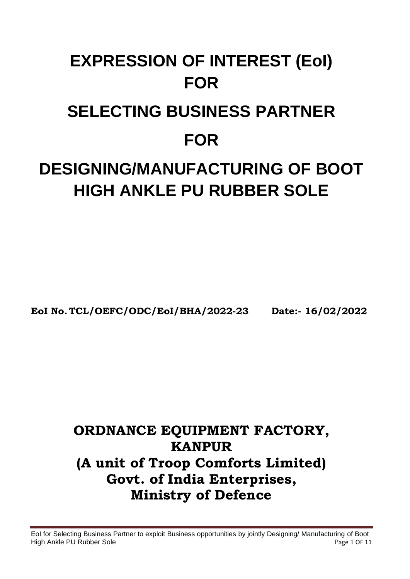# **EXPRESSION OF INTEREST (EoI) FOR SELECTING BUSINESS PARTNER FOR DESIGNING/MANUFACTURING OF BOOT HIGH ANKLE PU RUBBER SOLE**

**EoI No. TCL/OEFC/ODC/EoI/BHA/2022-23 Date:- 16/02/2022**

## **ORDNANCE EQUIPMENT FACTORY, KANPUR (A unit of Troop Comforts Limited) Govt. of India Enterprises, Ministry of Defence**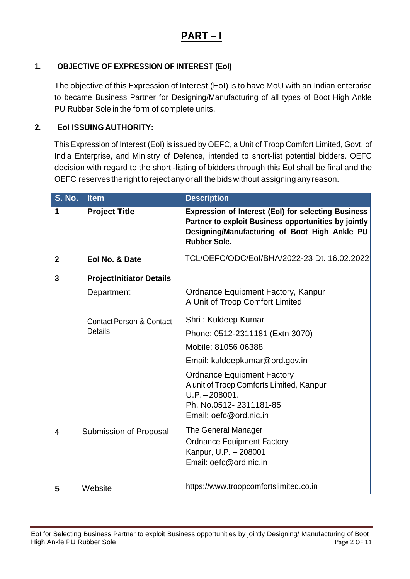### **PART – I**

#### **1. OBJECTIVE OF EXPRESSION OF INTEREST (EoI)**

The objective of this Expression of Interest (EoI) is to have MoU with an Indian enterprise to became Business Partner for Designing/Manufacturing of all types of Boot High Ankle PU Rubber Sole in the form of complete units.

#### **2. EoI ISSUING AUTHORITY:**

This Expression of Interest (EoI) is issued by OEFC, a Unit of Troop Comfort Limited, Govt. of India Enterprise, and Ministry of Defence, intended to short-list potential bidders. OEFC decision with regard to the short -listing of bidders through this EoI shall be final and the OEFC reserves the right to reject anyorall the bidswithout assigningany reason.

| <b>S. No.</b> | <b>Item</b>                         | <b>Description</b>                                                                                                                                                                         |  |
|---------------|-------------------------------------|--------------------------------------------------------------------------------------------------------------------------------------------------------------------------------------------|--|
| 1             | <b>Project Title</b>                | <b>Expression of Interest (EoI) for selecting Business</b><br>Partner to exploit Business opportunities by jointly<br>Designing/Manufacturing of Boot High Ankle PU<br><b>Rubber Sole.</b> |  |
| $\mathbf 2$   | Eol No. & Date                      | TCL/OEFC/ODC/Eol/BHA/2022-23 Dt. 16.02.2022                                                                                                                                                |  |
| 3             | <b>ProjectInitiator Details</b>     |                                                                                                                                                                                            |  |
|               | Department                          | Ordnance Equipment Factory, Kanpur<br>A Unit of Troop Comfort Limited                                                                                                                      |  |
|               | <b>Contact Person &amp; Contact</b> | Shri: Kuldeep Kumar                                                                                                                                                                        |  |
|               | <b>Details</b>                      | Phone: 0512-2311181 (Extn 3070)                                                                                                                                                            |  |
|               |                                     | Mobile: 81056 06388                                                                                                                                                                        |  |
|               |                                     | Email: kuldeepkumar@ord.gov.in                                                                                                                                                             |  |
|               |                                     | <b>Ordnance Equipment Factory</b><br>A unit of Troop Comforts Limited, Kanpur<br>$U.P. - 208001.$<br>Ph. No.0512-2311181-85<br>Email: oefc@ord.nic.in                                      |  |
| 4             | Submission of Proposal              | The General Manager<br><b>Ordnance Equipment Factory</b><br>Kanpur, U.P. - 208001<br>Email: oefc@ord.nic.in                                                                                |  |
| 5             | Website                             | https://www.troopcomfortslimited.co.in                                                                                                                                                     |  |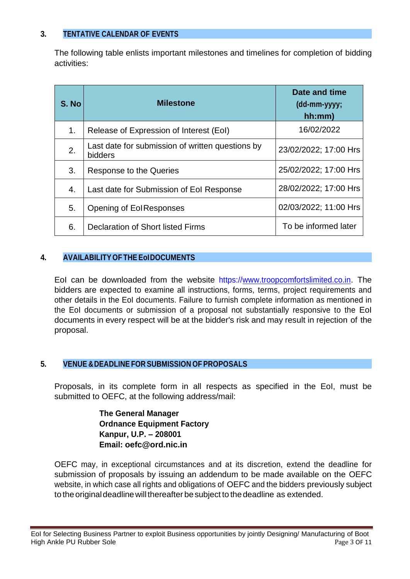#### **3. TENTATIVE CALENDAR OF EVENTS**

The following table enlists important milestones and timelines for completion of bidding activities:

| S. No | <b>Milestone</b>                                            | Date and time<br>(dd-mm-yyyy;<br>hh:mm) |
|-------|-------------------------------------------------------------|-----------------------------------------|
| 1.    | Release of Expression of Interest (EoI)                     | 16/02/2022                              |
| 2.    | Last date for submission of written questions by<br>bidders | 23/02/2022; 17:00 Hrs                   |
| 3.    | Response to the Queries                                     | 25/02/2022; 17:00 Hrs                   |
| 4.    | Last date for Submission of Eol Response                    | 28/02/2022; 17:00 Hrs                   |
| 5.    | Opening of EolResponses                                     | 02/03/2022; 11:00 Hrs                   |
| 6.    | <b>Declaration of Short listed Firms</b>                    | To be informed later                    |

#### **4. AVAILABILITY OF THE EoIDOCUMENTS**

EoI can be downloaded from the website https://www.troopcomfortslimited.co.in. The bidders are expected to examine all instructions, forms, terms, project requirements and other details in the EoI documents. Failure to furnish complete information as mentioned in the EoI documents or submission of a proposal not substantially responsive to the EoI documents in every respect will be at the bidder's risk and may result in rejection of the proposal.

#### **5. VENUE &DEADLINE FOR SUBMISSION OF PROPOSALS**

Proposals, in its complete form in all respects as specified in the EoI, must be submitted to OEFC, at the following address/mail:

> **The General Manager Ordnance Equipment Factory Kanpur, U.P. – 208001 Email: oefc@ord.nic.in**

OEFC may, in exceptional circumstances and at its discretion, extend the deadline for submission of proposals by issuing an addendum to be made available on the OEFC website, in which case all rights and obligations of OEFC and the bidders previously subject to the original deadline will thereafter be subject to the deadline as extended.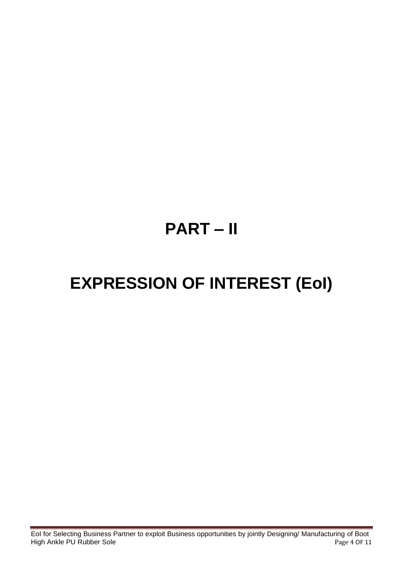## **PART – II**

## **EXPRESSION OF INTEREST (EoI)**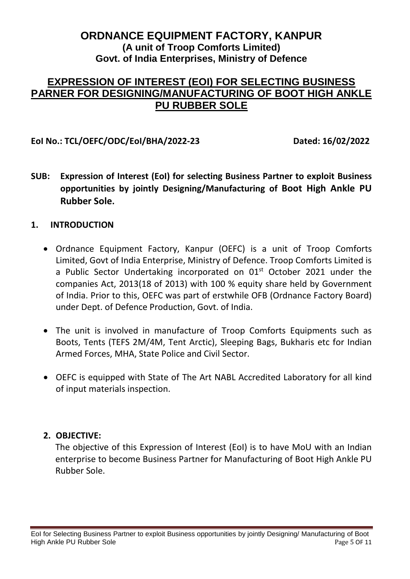#### **ORDNANCE EQUIPMENT FACTORY, KANPUR (A unit of Troop Comforts Limited) Govt. of India Enterprises, Ministry of Defence**

#### **EXPRESSION OF INTEREST (EOI) FOR SELECTING BUSINESS PARNER FOR DESIGNING/MANUFACTURING OF BOOT HIGH ANKLE PU RUBBER SOLE**

#### **EoI No.: TCL/OEFC/ODC/EoI/BHA/2022-23 Dated: 16/02/2022**

**SUB: Expression of Interest (EoI) for selecting Business Partner to exploit Business opportunities by jointly Designing/Manufacturing of Boot High Ankle PU Rubber Sole.**

#### **1. INTRODUCTION**

- Ordnance Equipment Factory, Kanpur (OEFC) is a unit of Troop Comforts Limited, Govt of India Enterprise, Ministry of Defence. Troop Comforts Limited is a Public Sector Undertaking incorporated on 01<sup>st</sup> October 2021 under the companies Act, 2013(18 of 2013) with 100 % equity share held by Government of India. Prior to this, OEFC was part of erstwhile OFB (Ordnance Factory Board) under Dept. of Defence Production, Govt. of India.
- The unit is involved in manufacture of Troop Comforts Equipments such as Boots, Tents (TEFS 2M/4M, Tent Arctic), Sleeping Bags, Bukharis etc for Indian Armed Forces, MHA, State Police and Civil Sector.
- OEFC is equipped with State of The Art NABL Accredited Laboratory for all kind of input materials inspection.

#### **2. OBJECTIVE:**

The objective of this Expression of Interest (EoI) is to have MoU with an Indian enterprise to become Business Partner for Manufacturing of Boot High Ankle PU Rubber Sole.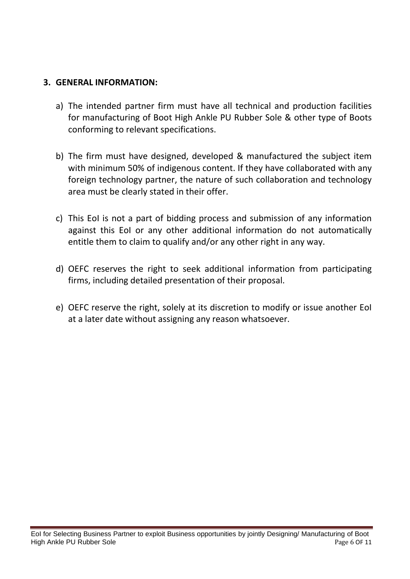#### **3. GENERAL INFORMATION:**

- a) The intended partner firm must have all technical and production facilities for manufacturing of Boot High Ankle PU Rubber Sole & other type of Boots conforming to relevant specifications.
- b) The firm must have designed, developed & manufactured the subject item with minimum 50% of indigenous content. If they have collaborated with any foreign technology partner, the nature of such collaboration and technology area must be clearly stated in their offer.
- c) This EoI is not a part of bidding process and submission of any information against this EoI or any other additional information do not automatically entitle them to claim to qualify and/or any other right in any way.
- d) OEFC reserves the right to seek additional information from participating firms, including detailed presentation of their proposal.
- e) OEFC reserve the right, solely at its discretion to modify or issue another EoI at a later date without assigning any reason whatsoever.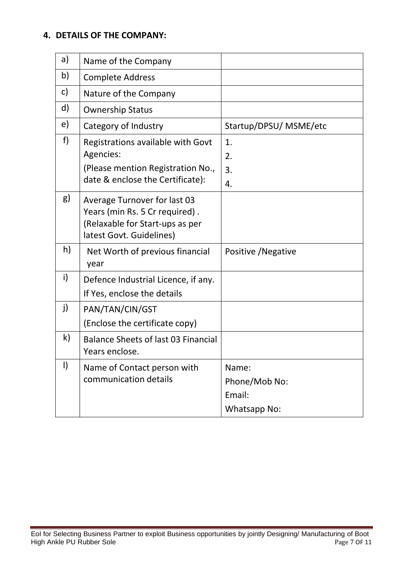#### **4. DETAILS OF THE COMPANY:**

| a)           | Name of the Company                                                                                                           |                                                  |
|--------------|-------------------------------------------------------------------------------------------------------------------------------|--------------------------------------------------|
| b)           | <b>Complete Address</b>                                                                                                       |                                                  |
| C)           | Nature of the Company                                                                                                         |                                                  |
| d)           | <b>Ownership Status</b>                                                                                                       |                                                  |
| e)           | Category of Industry                                                                                                          | Startup/DPSU/ MSME/etc                           |
| f)           | Registrations available with Govt<br>Agencies:<br>(Please mention Registration No.,<br>date & enclose the Certificate):       | 1.<br>2.<br>3.<br>4.                             |
| g)           | Average Turnover for last 03<br>Years (min Rs. 5 Cr required).<br>(Relaxable for Start-ups as per<br>latest Govt. Guidelines) |                                                  |
| h)           | Net Worth of previous financial<br>year                                                                                       | Positive / Negative                              |
| i)           | Defence Industrial Licence, if any.<br>If Yes, enclose the details                                                            |                                                  |
| j)           | PAN/TAN/CIN/GST<br>(Enclose the certificate copy)                                                                             |                                                  |
| $\mathsf{k}$ | Balance Sheets of last 03 Financial<br>Years enclose.                                                                         |                                                  |
| $\vert$      | Name of Contact person with<br>communication details                                                                          | Name:<br>Phone/Mob No:<br>Email:<br>Whatsapp No: |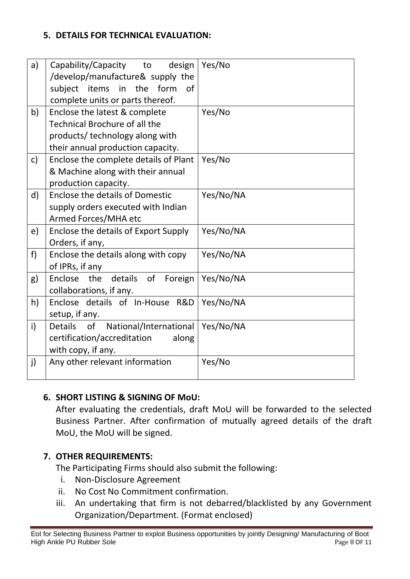#### **5. DETAILS FOR TECHNICAL EVALUATION:**

|                                                | Yes/No                                                                                                                                                |
|------------------------------------------------|-------------------------------------------------------------------------------------------------------------------------------------------------------|
|                                                |                                                                                                                                                       |
| 0f                                             |                                                                                                                                                       |
| complete units or parts thereof.               |                                                                                                                                                       |
| Enclose the latest & complete                  | Yes/No                                                                                                                                                |
| <b>Technical Brochure of all the</b>           |                                                                                                                                                       |
| products/technology along with                 |                                                                                                                                                       |
| their annual production capacity.              |                                                                                                                                                       |
| Enclose the complete details of Plant          | Yes/No                                                                                                                                                |
| & Machine along with their annual              |                                                                                                                                                       |
|                                                |                                                                                                                                                       |
| Enclose the details of Domestic                | Yes/No/NA                                                                                                                                             |
| supply orders executed with Indian             |                                                                                                                                                       |
| Armed Forces/MHA etc                           |                                                                                                                                                       |
| Enclose the details of Export Supply           | Yes/No/NA                                                                                                                                             |
| Orders, if any,                                |                                                                                                                                                       |
| Enclose the details along with copy            | Yes/No/NA                                                                                                                                             |
| of IPRs, if any                                |                                                                                                                                                       |
| details of Foreign<br>Enclose<br>the           | Yes/No/NA                                                                                                                                             |
| collaborations, if any.                        |                                                                                                                                                       |
| Enclose details of In-House R&D                | Yes/No/NA                                                                                                                                             |
| setup, if any.                                 |                                                                                                                                                       |
| National/International<br><b>Details</b><br>of | Yes/No/NA                                                                                                                                             |
| certification/accreditation<br>along           |                                                                                                                                                       |
|                                                |                                                                                                                                                       |
| Any other relevant information                 | Yes/No                                                                                                                                                |
|                                                |                                                                                                                                                       |
|                                                | Capability/Capacity to<br>design<br>/develop/manufacture& supply the<br>form<br>subject items in<br>the<br>production capacity.<br>with copy, if any. |

#### **6. SHORT LISTING & SIGNING OF MoU:**

After evaluating the credentials, draft MoU will be forwarded to the selected Business Partner. After confirmation of mutually agreed details of the draft MoU, the MoU will be signed.

#### **7. OTHER REQUIREMENTS:**

The Participating Firms should also submit the following:

- i. Non-Disclosure Agreement
- ii. No Cost No Commitment confirmation.
- iii. An undertaking that firm is not debarred/blacklisted by any Government Organization/Department. (Format enclosed)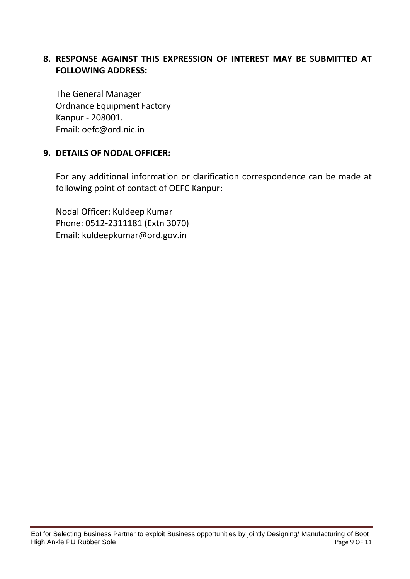#### **8. RESPONSE AGAINST THIS EXPRESSION OF INTEREST MAY BE SUBMITTED AT FOLLOWING ADDRESS:**

The General Manager Ordnance Equipment Factory Kanpur - 208001. Email: oefc@ord.nic.in

#### **9. DETAILS OF NODAL OFFICER:**

For any additional information or clarification correspondence can be made at following point of contact of OEFC Kanpur:

Nodal Officer: Kuldeep Kumar Phone: 0512-2311181 (Extn 3070) Email: kuldeepkumar@ord.gov.in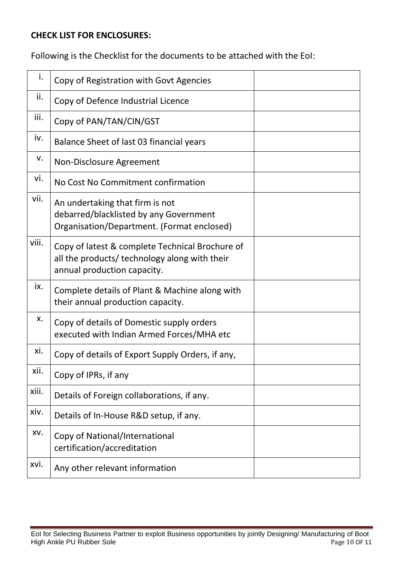#### **CHECK LIST FOR ENCLOSURES:**

Following is the Checklist for the documents to be attached with the EoI:

| i.    | Copy of Registration with Govt Agencies                                                                                         |  |
|-------|---------------------------------------------------------------------------------------------------------------------------------|--|
| ii.   | Copy of Defence Industrial Licence                                                                                              |  |
| iii.  | Copy of PAN/TAN/CIN/GST                                                                                                         |  |
| iv.   | Balance Sheet of last 03 financial years                                                                                        |  |
| v.    | Non-Disclosure Agreement                                                                                                        |  |
| vi.   | No Cost No Commitment confirmation                                                                                              |  |
| vii.  | An undertaking that firm is not<br>debarred/blacklisted by any Government<br>Organisation/Department. (Format enclosed)         |  |
| viii. | Copy of latest & complete Technical Brochure of<br>all the products/ technology along with their<br>annual production capacity. |  |
| ix.   | Complete details of Plant & Machine along with<br>their annual production capacity.                                             |  |
| х.    | Copy of details of Domestic supply orders<br>executed with Indian Armed Forces/MHA etc                                          |  |
| xi.   | Copy of details of Export Supply Orders, if any,                                                                                |  |
| xii.  | Copy of IPRs, if any                                                                                                            |  |
| xiii. | Details of Foreign collaborations, if any.                                                                                      |  |
| xiv.  | Details of In-House R&D setup, if any.                                                                                          |  |
| XV.   | Copy of National/International<br>certification/accreditation                                                                   |  |
| xvi.  | Any other relevant information                                                                                                  |  |